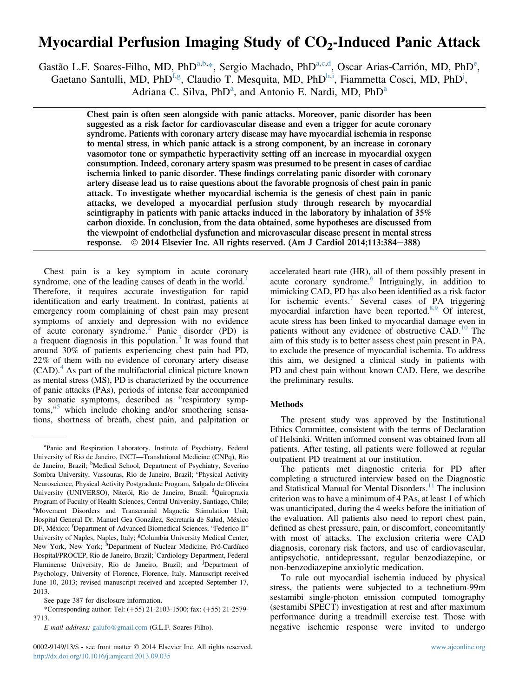# Myocardial Perfusion Imaging Study of  $CO<sub>2</sub>$ -Induced Panic Attack

Gastão L.F. Soares-Filho, MD, PhD<sup>a,b,\*</sup>, Sergio Machado, PhD<sup>a,c,d</sup>, Oscar Arias-Carrión, MD, PhD<sup>e</sup>, Gaetano Santulli, MD, PhD<sup>f,g</sup>, Claudio T. Mesquita, MD, PhD<sup>h,i</sup>, Fiammetta Cosci, MD, PhD<sup>j</sup>, Adriana C. Silva, PhD<sup>a</sup>, and Antonio E. Nardi, MD, PhD<sup>a</sup>

> Chest pain is often seen alongside with panic attacks. Moreover, panic disorder has been suggested as a risk factor for cardiovascular disease and even a trigger for acute coronary syndrome. Patients with coronary artery disease may have myocardial ischemia in response to mental stress, in which panic attack is a strong component, by an increase in coronary vasomotor tone or sympathetic hyperactivity setting off an increase in myocardial oxygen consumption. Indeed, coronary artery spasm was presumed to be present in cases of cardiac ischemia linked to panic disorder. These findings correlating panic disorder with coronary artery disease lead us to raise questions about the favorable prognosis of chest pain in panic attack. To investigate whether myocardial ischemia is the genesis of chest pain in panic attacks, we developed a myocardial perfusion study through research by myocardial scintigraphy in patients with panic attacks induced in the laboratory by inhalation of 35% carbon dioxide. In conclusion, from the data obtained, some hypotheses are discussed from the viewpoint of endothelial dysfunction and microvascular disease present in mental stress response.  $\odot$  2014 Elsevier Inc. All rights reserved. (Am J Cardiol 2014:113:384–388)  $\odot$  2014 Elsevier Inc. All rights reserved. (Am J Cardiol 2014;113:384-388)

Chest pain is a key symptom in acute coronary syndrome, one of the leading causes of death in the world. $<sup>1</sup>$ </sup> Therefore, it requires accurate investigation for rapid identification and early treatment. In contrast, patients at emergency room complaining of chest pain may present symptoms of anxiety and depression with no evidence of acute coronary syndrome.<sup>2</sup> Panic disorder (PD) is a frequent diagnosis in this population. $3$  It was found that around 30% of patients experiencing chest pain had PD, 22% of them with no evidence of coronary artery disease  $(CAD)$ .<sup>4</sup> As part of the multifactorial clinical picture known as mental stress (MS), PD is characterized by the occurrence of panic attacks (PAs), periods of intense fear accompanied by somatic symptoms, described as "respiratory symptoms," <sup>5</sup> which include choking and/or smothering sensations, shortness of breath, chest pain, and palpitation or

0002-9149/13/\$ - see front matter  $\oslash$  2014 Elsevier Inc. All rights reserved. Www.ajconline.org http://dx.doi.org/10.1016/j.amjcard.2013.09.035

accelerated heart rate (HR), all of them possibly present in acute coronary syndrome.<sup>6</sup> Intriguingly, in addition to mimicking CAD, PD has also been identified as a risk factor for ischemic events. $7$  Several cases of PA triggering myocardial infarction have been reported.<sup>8,9</sup> Of interest, acute stress has been linked to myocardial damage even in patients without any evidence of obstructive CAD.<sup>10</sup> The aim of this study is to better assess chest pain present in PA, to exclude the presence of myocardial ischemia. To address this aim, we designed a clinical study in patients with PD and chest pain without known CAD. Here, we describe the preliminary results.

## Methods

The present study was approved by the Institutional Ethics Committee, consistent with the terms of Declaration of Helsinki. Written informed consent was obtained from all patients. After testing, all patients were followed at regular outpatient PD treatment at our institution.

The patients met diagnostic criteria for PD after completing a structured interview based on the Diagnostic and Statistical Manual for Mental Disorders.<sup>11</sup> The inclusion criterion was to have a minimum of 4 PAs, at least 1 of which was unanticipated, during the 4 weeks before the initiation of the evaluation. All patients also need to report chest pain, defined as chest pressure, pain, or discomfort, concomitantly with most of attacks. The exclusion criteria were CAD diagnosis, coronary risk factors, and use of cardiovascular, antipsychotic, antidepressant, regular benzodiazepine, or non-benzodiazepine anxiolytic medication.

To rule out myocardial ischemia induced by physical stress, the patients were subjected to a technetium-99m sestamibi single-photon emission computed tomography (sestamibi SPECT) investigation at rest and after maximum performance during a treadmill exercise test. Those with negative ischemic response were invited to undergo

a Panic and Respiration Laboratory, Institute of Psychiatry, Federal University of Rio de Janeiro, INCT—Translational Medicine (CNPq), Rio de Janeiro, Brazil; <sup>b</sup>Medical School, Department of Psychiatry, Severino Sombra University, Vassouras, Rio de Janeiro, Brazil; <sup>c</sup>Physical Activity Neuroscience, Physical Activity Postgraduate Program, Salgado de Oliveira University (UNIVERSO), Niterói, Rio de Janeiro, Brazil; <sup>d</sup>Quiropraxia Program of Faculty of Health Sciences, Central University, Santiago, Chile; e Movement Disorders and Transcranial Magnetic Stimulation Unit, Hospital General Dr. Manuel Gea González, Secretaría de Salud, México DF, México; <sup>f</sup>Department of Advanced Biomedical Sciences, "Federico II" University of Naples, Naples, Italy; <sup>g</sup>Columbia University Medical Center, New York, New York; <sup>h</sup>Department of Nuclear Medicine, Pró-Cardíaco Hospital/PROCEP, Rio de Janeiro, Brazil; <sup>i</sup>Cardiology Department, Federal Fluminense University, Rio de Janeiro, Brazil; and <sup>j</sup>Department of Psychology, University of Florence, Florence, Italy. Manuscript received June 10, 2013; revised manuscript received and accepted September 17, 2013.

See page 387 for disclosure information.

<sup>\*</sup>Corresponding author: Tel:  $(+55)$  21-2103-1500; fax:  $(+55)$  21-2579-3713.

E-mail address: galufo@gmail.com (G.L.F. Soares-Filho).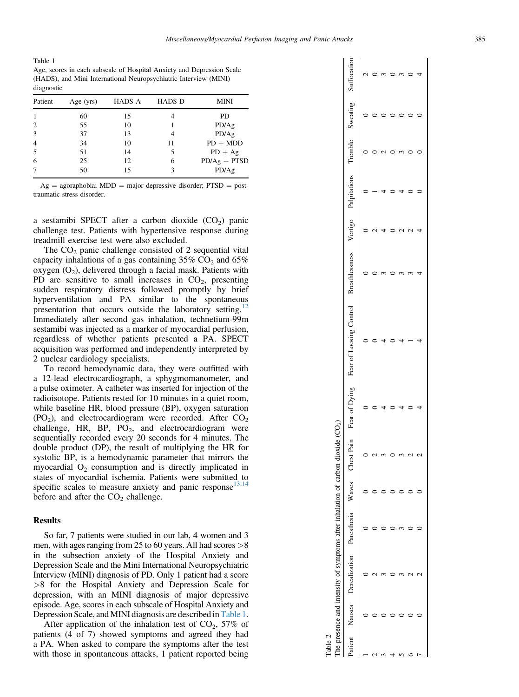Table 1 Age, scores in each subscale of Hospital Anxiety and Depression Scale (HADS), and Mini International Neuropsychiatric Interview (MINI) diagnostic

| Patient        | Age $(yrs)$ | HADS-A | <b>HADS-D</b> | <b>MINI</b>    |
|----------------|-------------|--------|---------------|----------------|
|                | 60          | 15     |               | PD             |
| $\overline{c}$ | 55          | 10     |               | PD/Ag          |
| 3              | 37          | 13     | 4             | PD/Ag          |
| $\overline{4}$ | 34          | 10     | 11            | $PD + MDD$     |
| 5              | 51          | 14     |               | $PD + Ag$      |
| 6              | 25          | 12     | 6             | $PD/Ag + PTSD$ |
| 7              | 50          | 15     | 3             | PD/Ag          |

 $Ag = agoraphobia$ ; MDD = major depressive disorder; PTSD = posttraumatic stress disorder.

a sestamibi SPECT after a carbon dioxide  $(CO<sub>2</sub>)$  panic challenge test. Patients with hypertensive response during treadmill exercise test were also excluded.

The  $CO<sub>2</sub>$  panic challenge consisted of 2 sequential vital capacity inhalations of a gas containing  $35\%$  CO<sub>2</sub> and  $65\%$ oxygen  $(O_2)$ , delivered through a facial mask. Patients with PD are sensitive to small increases in  $CO<sub>2</sub>$ , presenting sudden respiratory distress followed promptly by brief hyperventilation and PA similar to the spontaneous presentation that occurs outside the laboratory setting.<sup>12</sup> Immediately after second gas inhalation, technetium-99m sestamibi was injected as a marker of myocardial perfusion, regardless of whether patients presented a PA. SPECT acquisition was performed and independently interpreted by 2 nuclear cardiology specialists.

To record hemodynamic data, they were outfitted with a 12-lead electrocardiograph, a sphygmomanometer, and a pulse oximeter. A catheter was inserted for injection of the radioisotope. Patients rested for 10 minutes in a quiet room, while baseline HR, blood pressure (BP), oxygen saturation  $(PO<sub>2</sub>)$ , and electrocardiogram were recorded. After  $CO<sub>2</sub>$ challenge, HR, BP,  $PO<sub>2</sub>$ , and electrocardiogram were sequentially recorded every 20 seconds for 4 minutes. The double product (DP), the result of multiplying the HR for systolic BP, is a hemodynamic parameter that mirrors the myocardial  $O_2$  consumption and is directly implicated in states of myocardial ischemia. Patients were submitted to specific scales to measure anxiety and panic response<sup>13,14</sup> before and after the  $CO<sub>2</sub>$  challenge.

## **Results**

So far, 7 patients were studied in our lab, 4 women and 3 men, with ages ranging from 25 to 60 years. All had scores  $>8$ in the subsection anxiety of the Hospital Anxiety and Depression Scale and the Mini International Neuropsychiatric Interview (MINI) diagnosis of PD. Only 1 patient had a score >8 for the Hospital Anxiety and Depression Scale for depression, with an MINI diagnosis of major depressive episode. Age, scores in each subscale of Hospital Anxiety and Depression Scale, and MINI diagnosis are described in Table 1.

After application of the inhalation test of  $CO<sub>2</sub>$ , 57% of patients (4 of 7) showed symptoms and agreed they had a PA. When asked to compare the symptoms after the test with those in spontaneous attacks, 1 patient reported being

| able 2 |                                                                                   |  |  |                                                                                                                                                                   |  |  |  |
|--------|-----------------------------------------------------------------------------------|--|--|-------------------------------------------------------------------------------------------------------------------------------------------------------------------|--|--|--|
|        | The presence and intensity of symptoms after inhalation of carbon dioxide $(CO2)$ |  |  |                                                                                                                                                                   |  |  |  |
|        |                                                                                   |  |  | Patient Nausea Derealization Paresthesia Waves Chest Pain Fear of Dying Fear of Loosing Control Breathlessness Vertigo Palpitations Tremble Sweating Sufficeation |  |  |  |
|        |                                                                                   |  |  |                                                                                                                                                                   |  |  |  |
|        |                                                                                   |  |  |                                                                                                                                                                   |  |  |  |
|        |                                                                                   |  |  |                                                                                                                                                                   |  |  |  |
|        |                                                                                   |  |  |                                                                                                                                                                   |  |  |  |
|        |                                                                                   |  |  |                                                                                                                                                                   |  |  |  |
|        |                                                                                   |  |  |                                                                                                                                                                   |  |  |  |
|        |                                                                                   |  |  |                                                                                                                                                                   |  |  |  |
|        |                                                                                   |  |  |                                                                                                                                                                   |  |  |  |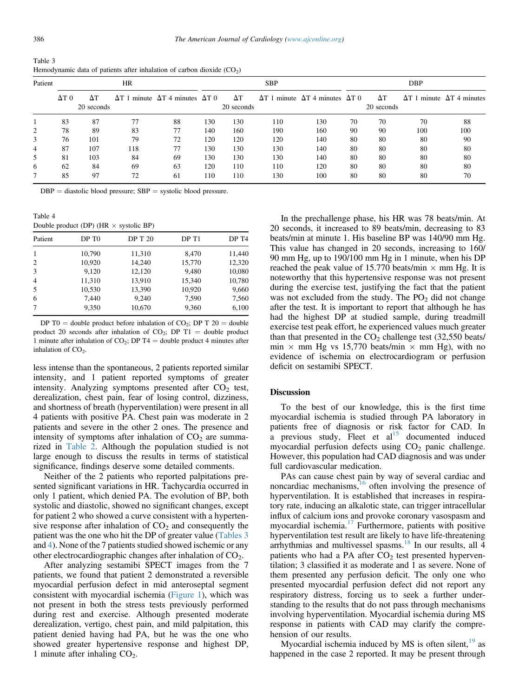| Table 3                                                                 |  |  |
|-------------------------------------------------------------------------|--|--|
| Hemodynamic data of patients after inhalation of carbon dioxide $(CO2)$ |  |  |

| Patient |              |                  | <b>HR</b> |                                                       |     |                  | <b>SBP</b> |                                                       |    |                  | <b>DBP</b> |                                          |
|---------|--------------|------------------|-----------|-------------------------------------------------------|-----|------------------|------------|-------------------------------------------------------|----|------------------|------------|------------------------------------------|
|         | $\Delta T 0$ | ΔΤ<br>20 seconds |           | $\Delta T$ 1 minute $\Delta T$ 4 minutes $\Delta T$ 0 |     | ΔT<br>20 seconds |            | $\Delta T$ 1 minute $\Delta T$ 4 minutes $\Delta T$ 0 |    | ΔΤ<br>20 seconds |            | $\Delta T$ 1 minute $\Delta T$ 4 minutes |
|         | 83           | 87               | 77        | 88                                                    | 130 | 130              | 110        | 130                                                   | 70 | 70               | 70         | 88                                       |
| 2       | 78           | 89               | 83        | 77                                                    | 140 | 160              | 190        | 160                                                   | 90 | 90               | 100        | 100                                      |
| 3       | 76           | 101              | 79        | 72                                                    | 120 | 120              | 120        | 140                                                   | 80 | 80               | 80         | 90                                       |
| 4       | 87           | 107              | 118       | 77                                                    | 130 | 130              | 130        | 140                                                   | 80 | 80               | 80         | 80                                       |
| 5       | 81           | 103              | 84        | 69                                                    | 130 | 130              | 130        | 140                                                   | 80 | 80               | 80         | 80                                       |
| 6       | 62           | 84               | 69        | 63                                                    | 120 | 110              | 110        | 120                                                   | 80 | 80               | 80         | 80                                       |
|         | 85           | 97               | 72        | 61                                                    | 110 | 110              | 130        | 100                                                   | 80 | 80               | 80         | 70                                       |

 $DBP =$  diastolic blood pressure;  $SBP =$  systolic blood pressure.

Table 4 Double product (DP) ( $HR \times$  systolic BP)

| Patient        | DP T <sub>0</sub> | <b>DP T 20</b> | DP T1  | DP T <sub>4</sub> |
|----------------|-------------------|----------------|--------|-------------------|
|                | 10,790            | 11,310         | 8,470  | 11,440            |
| 2              | 10,920            | 14,240         | 15,770 | 12,320            |
| 3              | 9.120             | 12,120         | 9,480  | 10,080            |
| $\overline{4}$ | 11,310            | 13,910         | 15,340 | 10,780            |
| 5              | 10,530            | 13,390         | 10,920 | 9,660             |
| 6              | 7,440             | 9,240          | 7,590  | 7,560             |
|                | 9,350             | 10,670         | 9,360  | 6,100             |

DP T0 = double product before inhalation of  $CO_2$ ; DP T 20 = double product 20 seconds after inhalation of  $CO_2$ ; DP T1 = double product 1 minute after inhalation of CO<sub>2</sub>; DP T4 = double product 4 minutes after inhalation of  $CO<sub>2</sub>$ .

less intense than the spontaneous, 2 patients reported similar intensity, and 1 patient reported symptoms of greater intensity. Analyzing symptoms presented after  $CO<sub>2</sub>$  test, derealization, chest pain, fear of losing control, dizziness, and shortness of breath (hyperventilation) were present in all 4 patients with positive PA. Chest pain was moderate in 2 patients and severe in the other 2 ones. The presence and intensity of symptoms after inhalation of  $CO<sub>2</sub>$  are summarized in Table 2. Although the population studied is not large enough to discuss the results in terms of statistical significance, findings deserve some detailed comments.

Neither of the 2 patients who reported palpitations presented significant variations in HR. Tachycardia occurred in only 1 patient, which denied PA. The evolution of BP, both systolic and diastolic, showed no significant changes, except for patient 2 who showed a curve consistent with a hypertensive response after inhalation of  $CO<sub>2</sub>$  and consequently the patient was the one who hit the DP of greater value (Tables 3 and 4). None of the 7 patients studied showed ischemic or any other electrocardiographic changes after inhalation of CO2.

After analyzing sestamibi SPECT images from the 7 patients, we found that patient 2 demonstrated a reversible myocardial perfusion defect in mid anteroseptal segment consistent with myocardial ischemia (Figure 1), which was not present in both the stress tests previously performed during rest and exercise. Although presented moderate derealization, vertigo, chest pain, and mild palpitation, this patient denied having had PA, but he was the one who showed greater hypertensive response and highest DP, 1 minute after inhaling  $CO<sub>2</sub>$ .

In the prechallenge phase, his HR was 78 beats/min. At 20 seconds, it increased to 89 beats/min, decreasing to 83 beats/min at minute 1. His baseline BP was 140/90 mm Hg. This value has changed in 20 seconds, increasing to 160/ 90 mm Hg, up to 190/100 mm Hg in 1 minute, when his DP reached the peak value of 15.770 beats/min  $\times$  mm Hg. It is noteworthy that this hypertensive response was not present during the exercise test, justifying the fact that the patient was not excluded from the study. The  $PO<sub>2</sub>$  did not change after the test. It is important to report that although he has had the highest DP at studied sample, during treadmill exercise test peak effort, he experienced values much greater than that presented in the  $CO<sub>2</sub>$  challenge test (32,550 beats/  $\min \times \text{mm Hg}$  vs 15,770 beats/min  $\times$  mm Hg), with no evidence of ischemia on electrocardiogram or perfusion deficit on sestamibi SPECT.

### **Discussion**

To the best of our knowledge, this is the first time myocardial ischemia is studied through PA laboratory in patients free of diagnosis or risk factor for CAD. In a previous study, Fleet et  $al<sup>15</sup>$  documented induced myocardial perfusion defects using  $CO<sub>2</sub>$  panic challenge. However, this population had CAD diagnosis and was under full cardiovascular medication.

PAs can cause chest pain by way of several cardiac and noncardiac mechanisms, $16$  often involving the presence of hyperventilation. It is established that increases in respiratory rate, inducing an alkalotic state, can trigger intracellular influx of calcium ions and provoke coronary vasospasm and myocardial ischemia.<sup>17</sup> Furthermore, patients with positive hyperventilation test result are likely to have life-threatening arrhythmias and multivessel spasms.<sup>18</sup> In our results, all 4 patients who had a PA after  $CO<sub>2</sub>$  test presented hyperventilation; 3 classified it as moderate and 1 as severe. None of them presented any perfusion deficit. The only one who presented myocardial perfusion defect did not report any respiratory distress, forcing us to seek a further understanding to the results that do not pass through mechanisms involving hyperventilation. Myocardial ischemia during MS response in patients with CAD may clarify the comprehension of our results.

Myocardial ischemia induced by MS is often silent, $19$  as happened in the case 2 reported. It may be present through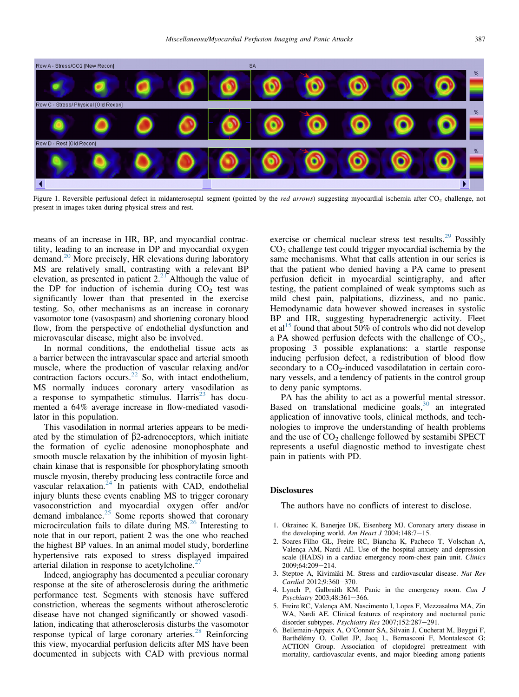

Figure 1. Reversible perfusional defect in midanteroseptal segment (pointed by the red arrows) suggesting myocardial ischemia after CO<sub>2</sub> challenge, not present in images taken during physical stress and rest.

means of an increase in HR, BP, and myocardial contractility, leading to an increase in DP and myocardial oxygen demand.<sup>20</sup> More precisely, HR elevations during laboratory MS are relatively small, contrasting with a relevant BP elevation, as presented in patient 2.<sup>21</sup> Although the value of the DP for induction of ischemia during  $CO<sub>2</sub>$  test was significantly lower than that presented in the exercise testing. So, other mechanisms as an increase in coronary vasomotor tone (vasospasm) and shortening coronary blood flow, from the perspective of endothelial dysfunction and microvascular disease, might also be involved.

In normal conditions, the endothelial tissue acts as a barrier between the intravascular space and arterial smooth muscle, where the production of vascular relaxing and/or contraction factors occurs.<sup>22</sup> So, with intact endothelium, MS normally induces coronary artery vasodilation as a response to sympathetic stimulus. Harris<sup>23</sup> has documented a 64% average increase in flow-mediated vasodilator in this population.

This vasodilation in normal arteries appears to be mediated by the stimulation of  $\beta$ 2-adrenoceptors, which initiate the formation of cyclic adenosine monophosphate and smooth muscle relaxation by the inhibition of myosin lightchain kinase that is responsible for phosphorylating smooth muscle myosin, thereby producing less contractile force and vascular relaxation. $24$  In patients with CAD, endothelial injury blunts these events enabling MS to trigger coronary vasoconstriction and myocardial oxygen offer and/or demand imbalance.25 Some reports showed that coronary microcirculation fails to dilate during  $MS<sup>26</sup>$  Interesting to note that in our report, patient 2 was the one who reached the highest BP values. In an animal model study, borderline hypertensive rats exposed to stress displayed impaired arterial dilation in response to acetylcholine.<sup>2</sup>

Indeed, angiography has documented a peculiar coronary response at the site of atherosclerosis during the arithmetic performance test. Segments with stenosis have suffered constriction, whereas the segments without atherosclerotic disease have not changed significantly or showed vasodilation, indicating that atherosclerosis disturbs the vasomotor response typical of large coronary arteries.<sup>28</sup> Reinforcing this view, myocardial perfusion deficits after MS have been documented in subjects with CAD with previous normal

exercise or chemical nuclear stress test results.<sup>29</sup> Possibly  $CO<sub>2</sub>$  challenge test could trigger myocardial ischemia by the same mechanisms. What that calls attention in our series is that the patient who denied having a PA came to present perfusion deficit in myocardial scintigraphy, and after testing, the patient complained of weak symptoms such as mild chest pain, palpitations, dizziness, and no panic. Hemodynamic data however showed increases in systolic BP and HR, suggesting hyperadrenergic activity. Fleet et al<sup>15</sup> found that about 50% of controls who did not develop a PA showed perfusion defects with the challenge of  $CO<sub>2</sub>$ , proposing 3 possible explanations: a startle response inducing perfusion defect, a redistribution of blood flow secondary to a  $CO<sub>2</sub>$ -induced vasodilatation in certain coronary vessels, and a tendency of patients in the control group to deny panic symptoms.

PA has the ability to act as a powerful mental stressor. Based on translational medicine goals,  $30$  an integrated application of innovative tools, clinical methods, and technologies to improve the understanding of health problems and the use of  $CO<sub>2</sub>$  challenge followed by sestamibi SPECT represents a useful diagnostic method to investigate chest pain in patients with PD.

### **Disclosures**

The authors have no conflicts of interest to disclose.

- 1. Okrainec K, Banerjee DK, Eisenberg MJ. Coronary artery disease in the developing world. Am Heart J 2004;148:7-15.
- 2. Soares-Filho GL, Freire RC, Biancha K, Pacheco T, Volschan A, Valença AM, Nardi AE. Use of the hospital anxiety and depression scale (HADS) in a cardiac emergency room-chest pain unit. Clinics  $2009:64:209 - 214.$
- 3. Steptoe A, Kivimäki M. Stress and cardiovascular disease. Nat Rev Cardiol 2012:9:360-370.
- 4. Lynch P, Galbraith KM. Panic in the emergency room. Can J Psychiatry 2003;48:361-366.
- 5. Freire RC, Valença AM, Nascimento I, Lopes F, Mezzasalma MA, Zin WA, Nardi AE. Clinical features of respiratory and nocturnal panic disorder subtypes. Psychiatry Res 2007;152:287-291.
- 6. Bellemain-Appaix A, O'Connor SA, Silvain J, Cucherat M, Beygui F, Barthélémy O, Collet JP, Jacq L, Bernasconi F, Montalescot G; ACTION Group. Association of clopidogrel pretreatment with mortality, cardiovascular events, and major bleeding among patients